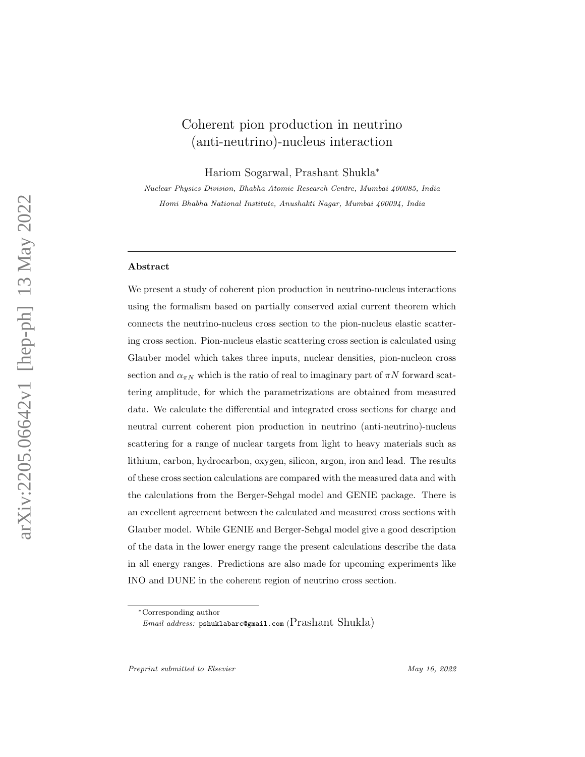# Coherent pion production in neutrino (anti-neutrino)-nucleus interaction

Hariom Sogarwal , Prashant Shukla ∗

Nuclear Physics Division, Bhabha Atomic Research Centre, Mumbai 400085, India Homi Bhabha National Institute, Anushakti Nagar, Mumbai 400094, India

#### Abstract

We present a study of coherent pion production in neutrino-nucleus interactions using the formalism based on partially conserved axial current theorem which connects the neutrino-nucleus cross section to the pion-nucleus elastic scattering cross section. Pion-nucleus elastic scattering cross section is calculated using Glauber model which takes three inputs, nuclear densities, pion-nucleon cross section and  $\alpha_{\pi N}$  which is the ratio of real to imaginary part of  $\pi N$  forward scattering amplitude, for which the parametrizations are obtained from measured data. We calculate the differential and integrated cross sections for charge and neutral current coherent pion production in neutrino (anti-neutrino)-nucleus scattering for a range of nuclear targets from light to heavy materials such as lithium, carbon, hydrocarbon, oxygen, silicon, argon, iron and lead. The results of these cross section calculations are compared with the measured data and with the calculations from the Berger-Sehgal model and GENIE package. There is an excellent agreement between the calculated and measured cross sections with Glauber model. While GENIE and Berger-Sehgal model give a good description of the data in the lower energy range the present calculations describe the data in all energy ranges. Predictions are also made for upcoming experiments like INO and DUNE in the coherent region of neutrino cross section.

Preprint submitted to Elsevier May 16, 2022

<sup>∗</sup>Corresponding author

 $\emph{Email address: }\emph{pshuklabarc@gmail.com}$  ( $\emph{Prashant Shukla)}$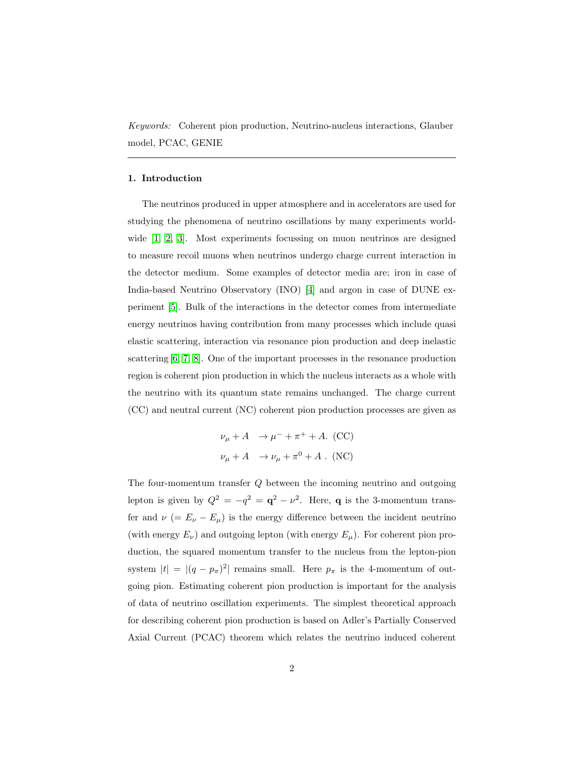Keywords: Coherent pion production, Neutrino-nucleus interactions, Glauber model, PCAC, GENIE

### 1. Introduction

The neutrinos produced in upper atmosphere and in accelerators are used for studying the phenomena of neutrino oscillations by many experiments worldwide [\[1,](#page-23-0) [2,](#page-23-1) [3\]](#page-23-2). Most experiments focussing on muon neutrinos are designed to measure recoil muons when neutrinos undergo charge current interaction in the detector medium. Some examples of detector media are; iron in case of India-based Neutrino Observatory (INO) [\[4\]](#page-23-3) and argon in case of DUNE experiment [\[5\]](#page-23-4). Bulk of the interactions in the detector comes from intermediate energy neutrinos having contribution from many processes which include quasi elastic scattering, interaction via resonance pion production and deep inelastic scattering [\[6,](#page-23-5) [7,](#page-23-6) [8\]](#page-23-7). One of the important processes in the resonance production region is coherent pion production in which the nucleus interacts as a whole with the neutrino with its quantum state remains unchanged. The charge current (CC) and neutral current (NC) coherent pion production processes are given as

$$
\nu_{\mu} + A \rightarrow \mu^{-} + \pi^{+} + A. \text{ (CC)}
$$
  

$$
\nu_{\mu} + A \rightarrow \nu_{\mu} + \pi^{0} + A. \text{ (NC)}
$$

The four-momentum transfer Q between the incoming neutrino and outgoing lepton is given by  $Q^2 = -q^2 = \mathbf{q}^2 - \nu^2$ . Here, **q** is the 3-momentum transfer and  $\nu$  (=  $E_{\nu}$  –  $E_{\mu}$ ) is the energy difference between the incident neutrino (with energy  $E_{\nu}$ ) and outgoing lepton (with energy  $E_{\mu}$ ). For coherent pion production, the squared momentum transfer to the nucleus from the lepton-pion system  $|t| = |(q - p_{\pi})^2|$  remains small. Here  $p_{\pi}$  is the 4-momentum of outgoing pion. Estimating coherent pion production is important for the analysis of data of neutrino oscillation experiments. The simplest theoretical approach for describing coherent pion production is based on Adler's Partially Conserved Axial Current (PCAC) theorem which relates the neutrino induced coherent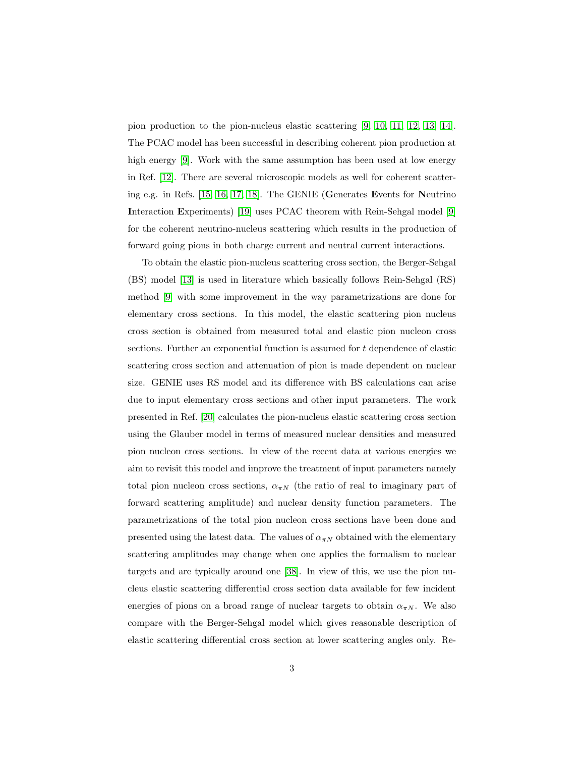pion production to the pion-nucleus elastic scattering [\[9,](#page-23-8) [10,](#page-23-9) [11,](#page-23-10) [12,](#page-23-11) [13,](#page-23-12) [14\]](#page-23-13). The PCAC model has been successful in describing coherent pion production at high energy [\[9\]](#page-23-8). Work with the same assumption has been used at low energy in Ref. [\[12\]](#page-23-11). There are several microscopic models as well for coherent scattering e.g. in Refs. [\[15,](#page-23-14) [16,](#page-23-15) [17,](#page-24-0) [18\]](#page-24-1). The GENIE (Generates Events for Neutrino Interaction Experiments) [\[19\]](#page-24-2) uses PCAC theorem with Rein-Sehgal model [\[9\]](#page-23-8) for the coherent neutrino-nucleus scattering which results in the production of forward going pions in both charge current and neutral current interactions.

To obtain the elastic pion-nucleus scattering cross section, the Berger-Sehgal (BS) model [\[13\]](#page-23-12) is used in literature which basically follows Rein-Sehgal (RS) method [\[9\]](#page-23-8) with some improvement in the way parametrizations are done for elementary cross sections. In this model, the elastic scattering pion nucleus cross section is obtained from measured total and elastic pion nucleon cross sections. Further an exponential function is assumed for t dependence of elastic scattering cross section and attenuation of pion is made dependent on nuclear size. GENIE uses RS model and its difference with BS calculations can arise due to input elementary cross sections and other input parameters. The work presented in Ref. [\[20\]](#page-24-3) calculates the pion-nucleus elastic scattering cross section using the Glauber model in terms of measured nuclear densities and measured pion nucleon cross sections. In view of the recent data at various energies we aim to revisit this model and improve the treatment of input parameters namely total pion nucleon cross sections,  $\alpha_{\pi N}$  (the ratio of real to imaginary part of forward scattering amplitude) and nuclear density function parameters. The parametrizations of the total pion nucleon cross sections have been done and presented using the latest data. The values of  $\alpha_{\pi N}$  obtained with the elementary scattering amplitudes may change when one applies the formalism to nuclear targets and are typically around one [\[38\]](#page-25-0). In view of this, we use the pion nucleus elastic scattering differential cross section data available for few incident energies of pions on a broad range of nuclear targets to obtain  $\alpha_{\pi N}$ . We also compare with the Berger-Sehgal model which gives reasonable description of elastic scattering differential cross section at lower scattering angles only. Re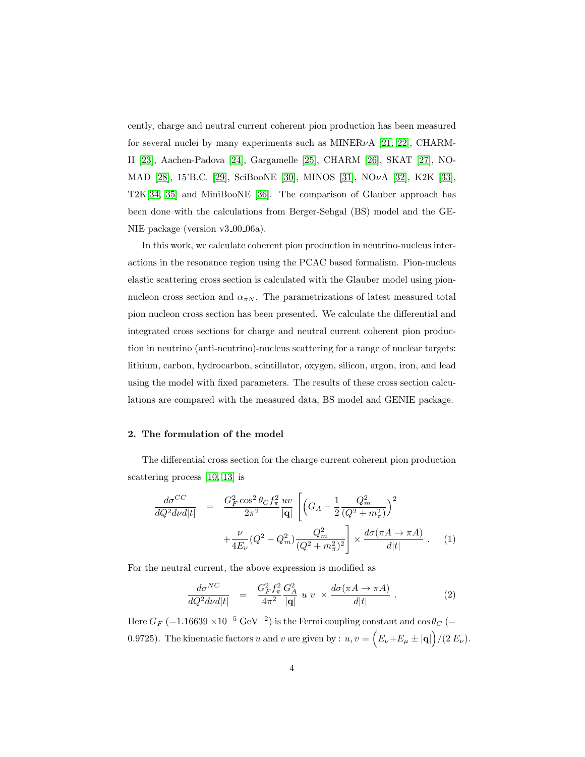cently, charge and neutral current coherent pion production has been measured for several nuclei by many experiments such as MINER $\nu$ A [\[21,](#page-24-4) [22\]](#page-24-5), CHARM-II [\[23\]](#page-24-6), Aachen-Padova [\[24\]](#page-24-7), Gargamelle [\[25\]](#page-24-8), CHARM [\[26\]](#page-24-9), SKAT [\[27\]](#page-24-10), NO-MAD [\[28\]](#page-24-11), 15'B.C. [\[29\]](#page-24-12), SciBooNE [\[30\]](#page-24-13), MINOS [\[31\]](#page-25-1), NOνA [\[32\]](#page-25-2), K2K [\[33\]](#page-25-3), T2K[\[34,](#page-25-4) [35\]](#page-25-5) and MiniBooNE [\[36\]](#page-25-6). The comparison of Glauber approach has been done with the calculations from Berger-Sehgal (BS) model and the GE-NIE package (version  $v3.00\text{-}06a$ ).

In this work, we calculate coherent pion production in neutrino-nucleus interactions in the resonance region using the PCAC based formalism. Pion-nucleus elastic scattering cross section is calculated with the Glauber model using pionnucleon cross section and  $\alpha_{\pi N}$ . The parametrizations of latest measured total pion nucleon cross section has been presented. We calculate the differential and integrated cross sections for charge and neutral current coherent pion production in neutrino (anti-neutrino)-nucleus scattering for a range of nuclear targets: lithium, carbon, hydrocarbon, scintillator, oxygen, silicon, argon, iron, and lead using the model with fixed parameters. The results of these cross section calculations are compared with the measured data, BS model and GENIE package.

#### 2. The formulation of the model

The differential cross section for the charge current coherent pion production scattering process [\[10,](#page-23-9) [13\]](#page-23-12) is

<span id="page-3-1"></span>
$$
\frac{d\sigma^{CC}}{dQ^2d\nu d|t} = \frac{G_F^2 \cos^2 \theta_C f_\pi^2}{2\pi^2} \frac{uv}{|\mathbf{q}|} \left[ \left( G_A - \frac{1}{2} \frac{Q_m^2}{(Q^2 + m_\pi^2)} \right)^2 + \frac{\nu}{4E_\nu} (Q^2 - Q_m^2) \frac{Q_m^2}{(Q^2 + m_\pi^2)^2} \right] \times \frac{d\sigma(\pi A \to \pi A)}{d|t|} . \tag{1}
$$

For the neutral current, the above expression is modified as

<span id="page-3-0"></span>
$$
\frac{d\sigma^{NC}}{dQ^2d\nu d|t|} = \frac{G_F^2 f_\pi^2}{4\pi^2} \frac{G_A^2}{|\mathbf{q}|} u v \times \frac{d\sigma(\pi A \to \pi A)}{d|t|} . \tag{2}
$$

Here  $G_F$  (=1.16639 ×10<sup>-5</sup> GeV<sup>-2</sup>) is the Fermi coupling constant and  $\cos \theta_C$  (= 0.9725). The kinematic factors u and v are given by :  $u, v = (E_{\nu} + E_{\mu} \pm |\mathbf{q}|)/(2 E_{\nu})$ .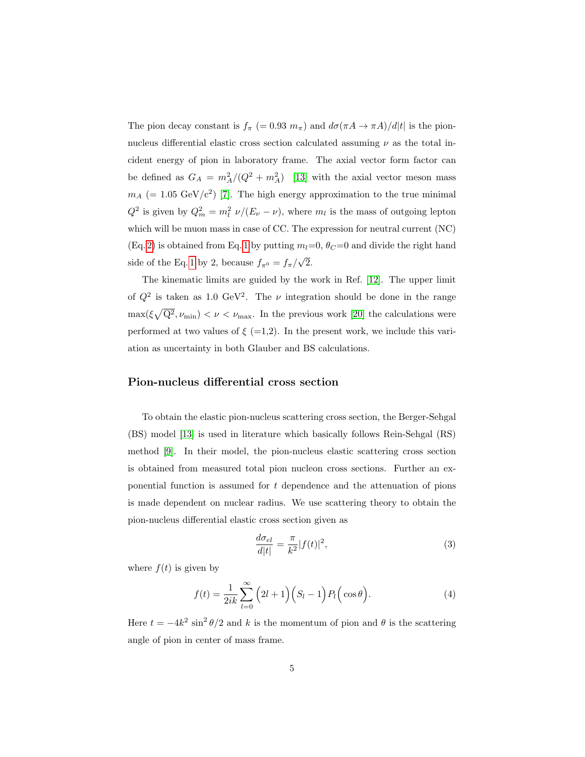The pion decay constant is  $f_{\pi}$  (= 0.93  $m_{\pi}$ ) and  $d\sigma(\pi A \to \pi A)/d|t|$  is the pionnucleus differential elastic cross section calculated assuming  $\nu$  as the total incident energy of pion in laboratory frame. The axial vector form factor can be defined as  $G_A = m_A^2/(Q^2 + m_A^2)$  [\[13\]](#page-23-12) with the axial vector meson mass  $m_A$  (= 1.05 GeV/c<sup>2</sup>) [\[7\]](#page-23-6). The high energy approximation to the true minimal  $Q^2$  is given by  $Q_m^2 = m_l^2 \nu/(E_\nu - \nu)$ , where  $m_l$  is the mass of outgoing lepton which will be muon mass in case of CC. The expression for neutral current (NC) (Eq. [2\)](#page-3-0) is obtained from Eq. [1](#page-3-1) by putting  $m_l=0$ ,  $\theta_c=0$  and divide the right hand side of the Eq. [1](#page-3-1) by 2, because  $f_{\pi^0} = f_{\pi}/$ √ 2.

The kinematic limits are guided by the work in Ref. [\[12\]](#page-23-11). The upper limit of  $Q^2$  is taken as 1.0 GeV<sup>2</sup>. The  $\nu$  integration should be done in the range  $\max(\xi\sqrt{Q^2},\nu_{\min}) < \nu < \nu_{\max}$ . In the previous work [\[20\]](#page-24-3) the calculations were performed at two values of  $\xi$  (=1,2). In the present work, we include this variation as uncertainty in both Glauber and BS calculations.

## Pion-nucleus differential cross section

To obtain the elastic pion-nucleus scattering cross section, the Berger-Sehgal (BS) model [\[13\]](#page-23-12) is used in literature which basically follows Rein-Sehgal (RS) method [\[9\]](#page-23-8). In their model, the pion-nucleus elastic scattering cross section is obtained from measured total pion nucleon cross sections. Further an exponential function is assumed for  $t$  dependence and the attenuation of pions is made dependent on nuclear radius. We use scattering theory to obtain the pion-nucleus differential elastic cross section given as

$$
\frac{d\sigma_{el}}{d|t|} = \frac{\pi}{k^2} |f(t)|^2,\tag{3}
$$

where  $f(t)$  is given by

$$
f(t) = \frac{1}{2ik} \sum_{l=0}^{\infty} \left( 2l+1 \right) \left( S_l - 1 \right) P_l \left( \cos \theta \right). \tag{4}
$$

Here  $t = -4k^2 \sin^2 \theta/2$  and k is the momentum of pion and  $\theta$  is the scattering angle of pion in center of mass frame.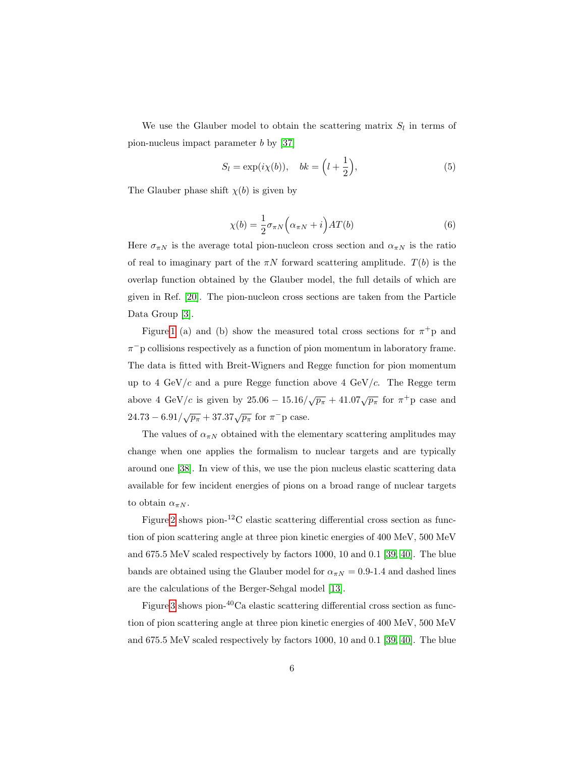We use the Glauber model to obtain the scattering matrix  $S_l$  in terms of pion-nucleus impact parameter b by [\[37\]](#page-25-7)

$$
S_l = \exp(i\chi(b)), \quad bk = \left(l + \frac{1}{2}\right),\tag{5}
$$

The Glauber phase shift  $\chi(b)$  is given by

$$
\chi(b) = \frac{1}{2}\sigma_{\pi N} \left(\alpha_{\pi N} + i\right) AT(b) \tag{6}
$$

Here  $\sigma_{\pi N}$  is the average total pion-nucleon cross section and  $\alpha_{\pi N}$  is the ratio of real to imaginary part of the  $\pi N$  forward scattering amplitude.  $T(b)$  is the overlap function obtained by the Glauber model, the full details of which are given in Ref. [\[20\]](#page-24-3). The pion-nucleon cross sections are taken from the Particle Data Group [\[3\]](#page-23-2).

Figure [1](#page-6-0) (a) and (b) show the measured total cross sections for  $\pi^+$ p and  $\pi$ <sup>-</sup>p collisions respectively as a function of pion momentum in laboratory frame. The data is fitted with Breit-Wigners and Regge function for pion momentum up to 4 GeV/c and a pure Regge function above 4 GeV/c. The Regge term above 4 GeV/c is given by  $25.06 - 15.16/\sqrt{p_{\pi}} + 41.07\sqrt{p_{\pi}}$  for  $\pi^+$ p case and  $24.73 - 6.91/\sqrt{p_{\pi}} + 37.37\sqrt{p_{\pi}}$  for  $\pi^-$  p case.

The values of  $\alpha_{\pi N}$  obtained with the elementary scattering amplitudes may change when one applies the formalism to nuclear targets and are typically around one [\[38\]](#page-25-0). In view of this, we use the pion nucleus elastic scattering data available for few incident energies of pions on a broad range of nuclear targets to obtain  $\alpha_{\pi N}$ .

Figure [2](#page-6-1) shows pion- ${}^{12}$ C elastic scattering differential cross section as function of pion scattering angle at three pion kinetic energies of 400 MeV, 500 MeV and 675.5 MeV scaled respectively by factors 1000, 10 and 0.1 [\[39,](#page-25-8) [40\]](#page-25-9). The blue bands are obtained using the Glauber model for  $\alpha_{\pi N} = 0.9$ -1.4 and dashed lines are the calculations of the Berger-Sehgal model [\[13\]](#page-23-12).

Figure [3](#page-7-0) shows pion-<sup>40</sup>Ca elastic scattering differential cross section as function of pion scattering angle at three pion kinetic energies of 400 MeV, 500 MeV and 675.5 MeV scaled respectively by factors 1000, 10 and 0.1 [\[39,](#page-25-8) [40\]](#page-25-9). The blue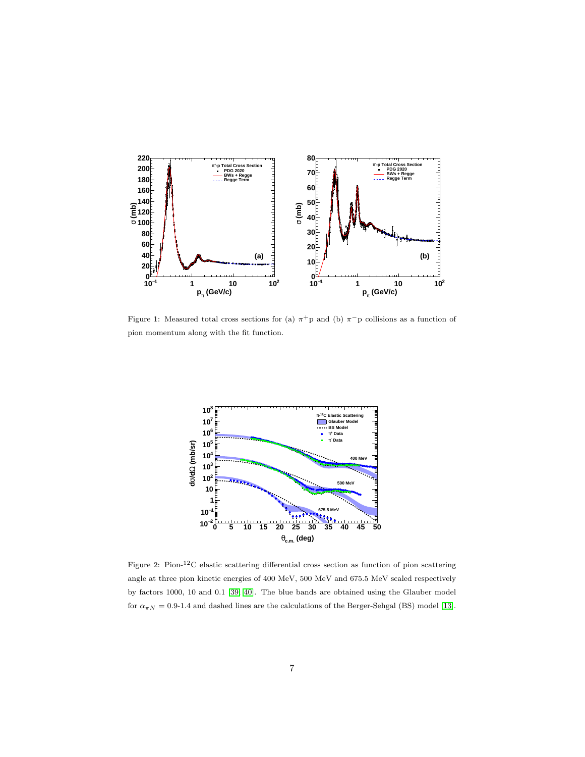

<span id="page-6-0"></span>Figure 1: Measured total cross sections for (a)  $\pi$ <sup>+</sup>p and (b)  $\pi$ <sup>-</sup>p collisions as a function of pion momentum along with the fit function.



<span id="page-6-1"></span>Figure 2: Pion-12C elastic scattering differential cross section as function of pion scattering angle at three pion kinetic energies of 400 MeV, 500 MeV and 675.5 MeV scaled respectively by factors 1000, 10 and 0.1 [\[39,](#page-25-8) [40\]](#page-25-9). The blue bands are obtained using the Glauber model for  $\alpha_{\pi N} = 0.9$ -1.4 and dashed lines are the calculations of the Berger-Sehgal (BS) model [\[13\]](#page-23-12).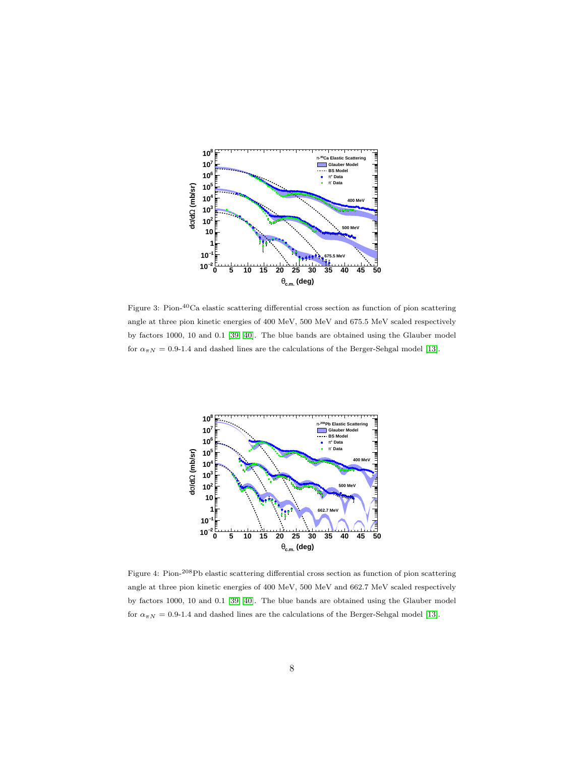

<span id="page-7-0"></span>Figure 3: Pion-40Ca elastic scattering differential cross section as function of pion scattering angle at three pion kinetic energies of 400 MeV, 500 MeV and 675.5 MeV scaled respectively by factors 1000, 10 and 0.1 [\[39,](#page-25-8) [40\]](#page-25-9). The blue bands are obtained using the Glauber model for  $\alpha_{\pi N} = 0.9$ -1.4 and dashed lines are the calculations of the Berger-Sehgal model [\[13\]](#page-23-12).



<span id="page-7-1"></span>Figure 4: Pion-208Pb elastic scattering differential cross section as function of pion scattering angle at three pion kinetic energies of 400 MeV, 500 MeV and 662.7 MeV scaled respectively by factors 1000, 10 and 0.1 [\[39,](#page-25-8) [40\]](#page-25-9). The blue bands are obtained using the Glauber model for  $\alpha_{\pi N} = 0.9$ -1.4 and dashed lines are the calculations of the Berger-Sehgal model [\[13\]](#page-23-12).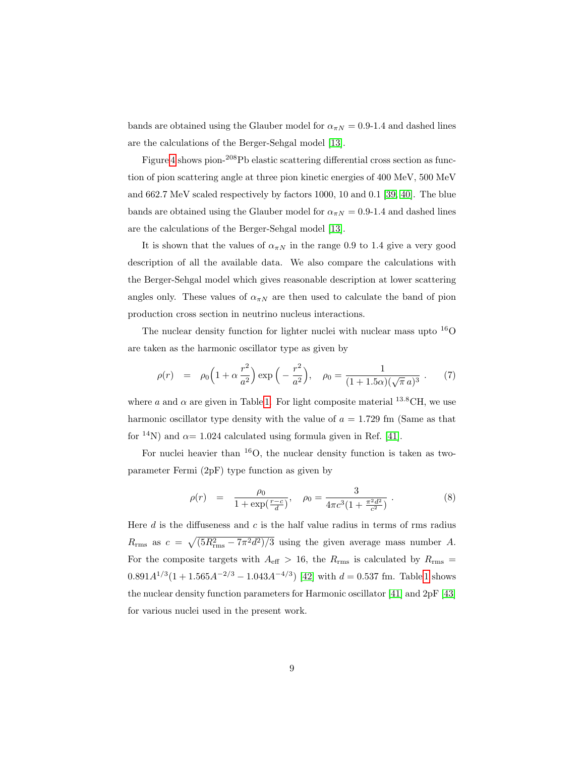bands are obtained using the Glauber model for  $\alpha_{\pi N} = 0.9$ -1.4 and dashed lines are the calculations of the Berger-Sehgal model [\[13\]](#page-23-12).

Figure [4](#page-7-1) shows pion-<sup>208</sup>Pb elastic scattering differential cross section as function of pion scattering angle at three pion kinetic energies of 400 MeV, 500 MeV and 662.7 MeV scaled respectively by factors 1000, 10 and 0.1 [\[39,](#page-25-8) [40\]](#page-25-9). The blue bands are obtained using the Glauber model for  $\alpha_{\pi N} = 0.9$ -1.4 and dashed lines are the calculations of the Berger-Sehgal model [\[13\]](#page-23-12).

It is shown that the values of  $\alpha_{\pi N}$  in the range 0.9 to 1.4 give a very good description of all the available data. We also compare the calculations with the Berger-Sehgal model which gives reasonable description at lower scattering angles only. These values of  $\alpha_{\pi N}$  are then used to calculate the band of pion production cross section in neutrino nucleus interactions.

The nuclear density function for lighter nuclei with nuclear mass upto  $^{16}O$ are taken as the harmonic oscillator type as given by

$$
\rho(r) = \rho_0 \left( 1 + \alpha \frac{r^2}{a^2} \right) \exp\left( -\frac{r^2}{a^2} \right), \quad \rho_0 = \frac{1}{(1 + 1.5\alpha)(\sqrt{\pi} a)^3} \ . \tag{7}
$$

where a and  $\alpha$  are given in Table [1.](#page-9-0) For light composite material <sup>13.8</sup>CH, we use harmonic oscillator type density with the value of  $a = 1.729$  fm (Same as that for <sup>14</sup>N) and  $\alpha$  = 1.024 calculated using formula given in Ref. [\[41\]](#page-25-10).

For nuclei heavier than  $^{16}O$ , the nuclear density function is taken as twoparameter Fermi (2pF) type function as given by

$$
\rho(r) = \frac{\rho_0}{1 + \exp(\frac{r - c}{d})}, \quad \rho_0 = \frac{3}{4\pi c^3 (1 + \frac{\pi^2 d^2}{c^2})}.
$$
\n(8)

Here  $d$  is the diffuseness and  $c$  is the half value radius in terms of rms radius  $R_{\rm rms}$  as  $c = \sqrt{(5R_{\rm rms}^2 - 7\pi^2 d^2)/3}$  using the given average mass number A. For the composite targets with  $A_{\text{eff}} > 16$ , the  $R_{\text{rms}}$  is calculated by  $R_{\text{rms}} =$  $0.891A^{1/3}(1+1.565A^{-2/3}-1.043A^{-4/3})$  [\[42\]](#page-25-11) with  $d=0.537$  fm. Table [1](#page-9-0) shows the nuclear density function parameters for Harmonic oscillator [\[41\]](#page-25-10) and 2pF [\[43\]](#page-25-12) for various nuclei used in the present work.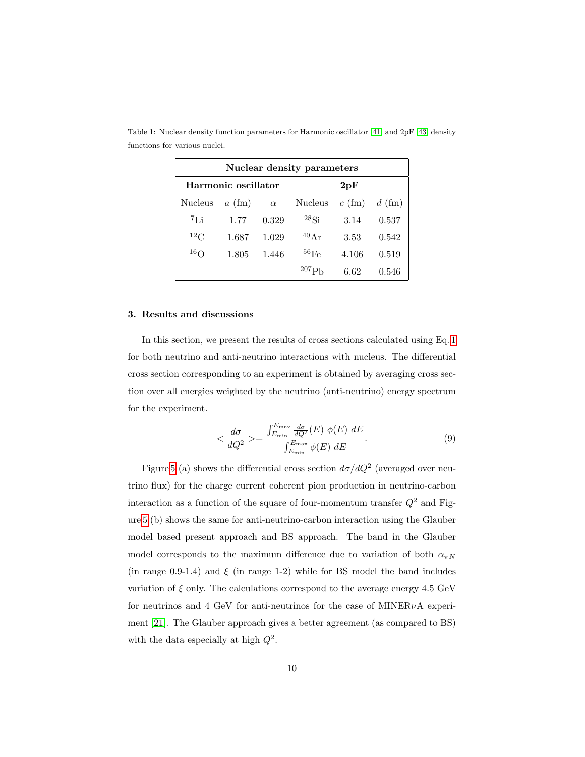| Nuclear density parameters |                  |          |                 |          |          |  |  |  |  |  |
|----------------------------|------------------|----------|-----------------|----------|----------|--|--|--|--|--|
| Harmonic oscillator        |                  |          | 2pF             |          |          |  |  |  |  |  |
| <b>Nucleus</b>             | $a \text{ (fm)}$ | $\alpha$ | <b>Nucleus</b>  | $c$ (fm) | $d$ (fm) |  |  |  |  |  |
| ${}^{7}$ Li                | 1.77             | 0.329    | $^{28}$ Si      | 3.14     | 0.537    |  |  |  |  |  |
| ${}^{12}C$                 | 1.687            | 1.029    | $40 \text{ Ar}$ | 3.53     | 0.542    |  |  |  |  |  |
| 16 <sub>O</sub>            | 1.805            | 1.446    | $^{56}$ Fe      | 4.106    | 0.519    |  |  |  |  |  |
|                            |                  |          | 207             | 6.62     | 0.546    |  |  |  |  |  |

<span id="page-9-0"></span>Table 1: Nuclear density function parameters for Harmonic oscillator [\[41\]](#page-25-10) and 2pF [\[43\]](#page-25-12) density functions for various nuclei.

#### 3. Results and discussions

In this section, we present the results of cross sections calculated using Eq. [1](#page-3-1) for both neutrino and anti-neutrino interactions with nucleus. The differential cross section corresponding to an experiment is obtained by averaging cross section over all energies weighted by the neutrino (anti-neutrino) energy spectrum for the experiment.

$$
\langle \frac{d\sigma}{dQ^2} \rangle = \frac{\int_{E_{\rm min}}^{E_{\rm max}} \frac{d\sigma}{dQ^2}(E) \phi(E) dE}{\int_{E_{\rm min}}^{E_{\rm max}} \phi(E) dE}.
$$
\n(9)

Figure [5](#page-10-0) (a) shows the differential cross section  $d\sigma/dQ^2$  (averaged over neutrino flux) for the charge current coherent pion production in neutrino-carbon interaction as a function of the square of four-momentum transfer  $Q^2$  and Figure [5](#page-10-0) (b) shows the same for anti-neutrino-carbon interaction using the Glauber model based present approach and BS approach. The band in the Glauber model corresponds to the maximum difference due to variation of both  $\alpha_{\pi N}$ (in range 0.9-1.4) and  $\xi$  (in range 1-2) while for BS model the band includes variation of  $\xi$  only. The calculations correspond to the average energy 4.5 GeV for neutrinos and 4 GeV for anti-neutrinos for the case of MINER $\nu$ A experiment [\[21\]](#page-24-4). The Glauber approach gives a better agreement (as compared to BS) with the data especially at high  $Q^2$ .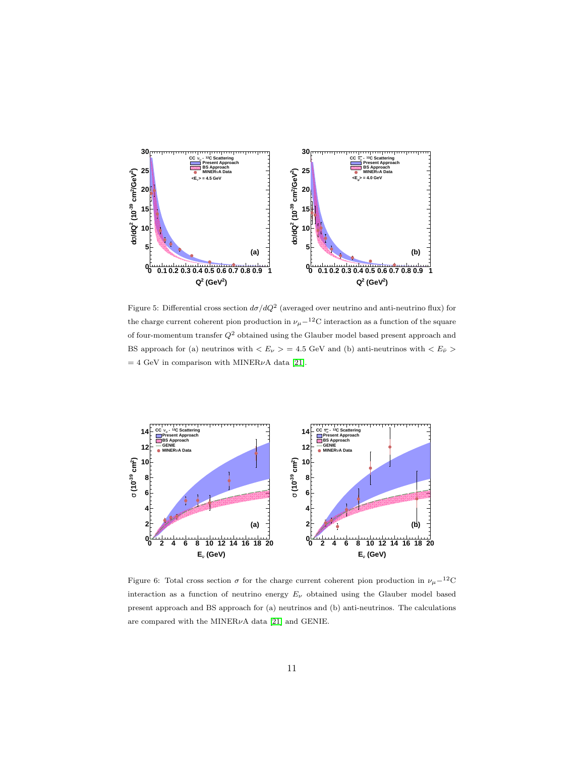

<span id="page-10-0"></span>Figure 5: Differential cross section  $d\sigma/dQ^2$  (averaged over neutrino and anti-neutrino flux) for the charge current coherent pion production in  $\nu_{\mu}$ −<sup>12</sup>C interaction as a function of the square of four-momentum transfer  $Q^2$  obtained using the Glauber model based present approach and BS approach for (a) neutrinos with  $\langle E_{\nu} \rangle = 4.5$  GeV and (b) anti-neutrinos with  $\langle E_{\bar{\nu}} \rangle$  $= 4$  GeV in comparison with MINER $\nu$ A data [\[21\]](#page-24-4).



<span id="page-10-1"></span>Figure 6: Total cross section  $\sigma$  for the charge current coherent pion production in  $\nu_\mu-^{12}$ C interaction as a function of neutrino energy  $E_{\nu}$  obtained using the Glauber model based present approach and BS approach for (a) neutrinos and (b) anti-neutrinos. The calculations are compared with the MINER $\nu$ A data [\[21\]](#page-24-4) and GENIE.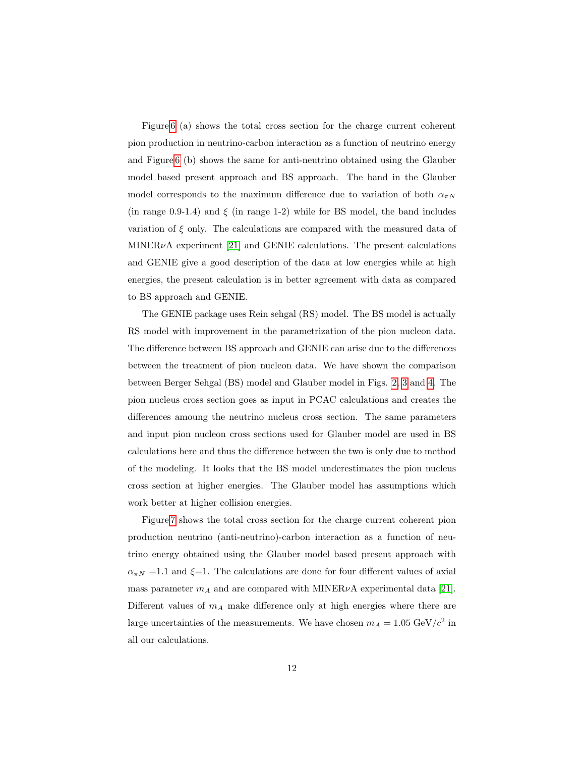Figure [6](#page-10-1) (a) shows the total cross section for the charge current coherent pion production in neutrino-carbon interaction as a function of neutrino energy and Figure [6](#page-10-1) (b) shows the same for anti-neutrino obtained using the Glauber model based present approach and BS approach. The band in the Glauber model corresponds to the maximum difference due to variation of both  $\alpha_{\pi N}$ (in range 0.9-1.4) and  $\xi$  (in range 1-2) while for BS model, the band includes variation of  $\xi$  only. The calculations are compared with the measured data of  $MINER\nu A experiment [21] and GENIE calculations. The present calculations$  $MINER\nu A experiment [21] and GENIE calculations. The present calculations$  $MINER\nu A experiment [21] and GENIE calculations. The present calculations$ and GENIE give a good description of the data at low energies while at high energies, the present calculation is in better agreement with data as compared to BS approach and GENIE.

The GENIE package uses Rein sehgal (RS) model. The BS model is actually RS model with improvement in the parametrization of the pion nucleon data. The difference between BS approach and GENIE can arise due to the differences between the treatment of pion nucleon data. We have shown the comparison between Berger Sehgal (BS) model and Glauber model in Figs. [2,](#page-6-1) [3](#page-7-0) and [4.](#page-7-1) The pion nucleus cross section goes as input in PCAC calculations and creates the differences amoung the neutrino nucleus cross section. The same parameters and input pion nucleon cross sections used for Glauber model are used in BS calculations here and thus the difference between the two is only due to method of the modeling. It looks that the BS model underestimates the pion nucleus cross section at higher energies. The Glauber model has assumptions which work better at higher collision energies.

Figure [7](#page-12-0) shows the total cross section for the charge current coherent pion production neutrino (anti-neutrino)-carbon interaction as a function of neutrino energy obtained using the Glauber model based present approach with  $\alpha_{\pi N}$  =1.1 and  $\xi$ =1. The calculations are done for four different values of axial mass parameter  $m_A$  and are compared with MINER $\nu$ A experimental data [\[21\]](#page-24-4). Different values of  $m_A$  make difference only at high energies where there are large uncertainties of the measurements. We have chosen  $m_A = 1.05 \text{ GeV}/c^2$  in all our calculations.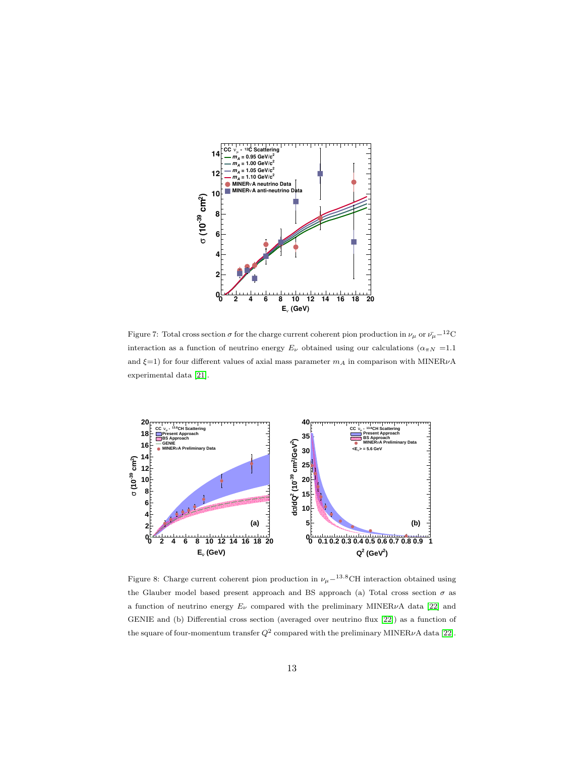

<span id="page-12-0"></span>Figure 7: Total cross section  $\sigma$  for the charge current coherent pion production in  $\nu_\mu$  or  $\bar{\nu_\mu}$ −<sup>12</sup>C interaction as a function of neutrino energy  $E_{\nu}$  obtained using our calculations ( $\alpha_{\pi N}$  =1.1 and  $\xi=1)$  for four different values of axial mass parameter<br>  $m_A$  in comparison with MINER $\nu\mathbf{A}$ experimental data [\[21\]](#page-24-4).



<span id="page-12-1"></span>Figure 8: Charge current coherent pion production in  $\nu_\mu-^{13.8}\text{CH}$  interaction obtained using the Glauber model based present approach and BS approach (a) Total cross section  $\sigma$  as a function of neutrino energy  $E_{\nu}$  compared with the preliminary MINER $\nu$ A data [\[22\]](#page-24-5) and GENIE and (b) Differential cross section (averaged over neutrino flux [\[22\]](#page-24-5)) as a function of the square of four-momentum transfer  $Q^2$  compared with the preliminary MINER $\nu$ A data [\[22\]](#page-24-5).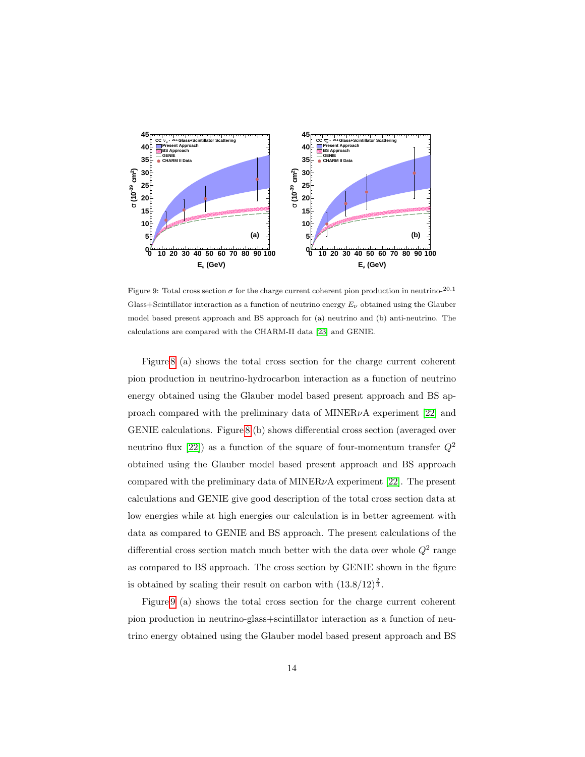

<span id="page-13-0"></span>Figure 9: Total cross section  $\sigma$  for the charge current coherent pion production in neutrino-20.1 Glass+Scintillator interaction as a function of neutrino energy  $E_{\nu}$  obtained using the Glauber model based present approach and BS approach for (a) neutrino and (b) anti-neutrino. The calculations are compared with the CHARM-II data [\[23\]](#page-24-6) and GENIE.

Figure [8](#page-12-1) (a) shows the total cross section for the charge current coherent pion production in neutrino-hydrocarbon interaction as a function of neutrino energy obtained using the Glauber model based present approach and BS approach compared with the preliminary data of  $MINER\nu A$  experiment [\[22\]](#page-24-5) and GENIE calculations. Figure [8](#page-12-1) (b) shows differential cross section (averaged over neutrino flux [\[22\]](#page-24-5)) as a function of the square of four-momentum transfer  $Q^2$ obtained using the Glauber model based present approach and BS approach compared with the preliminary data of MINER $\nu$ A experiment [\[22\]](#page-24-5). The present calculations and GENIE give good description of the total cross section data at low energies while at high energies our calculation is in better agreement with data as compared to GENIE and BS approach. The present calculations of the differential cross section match much better with the data over whole  $Q^2$  range as compared to BS approach. The cross section by GENIE shown in the figure is obtained by scaling their result on carbon with  $(13.8/12)^{\frac{2}{3}}$ .

Figure [9](#page-13-0) (a) shows the total cross section for the charge current coherent pion production in neutrino-glass+scintillator interaction as a function of neutrino energy obtained using the Glauber model based present approach and BS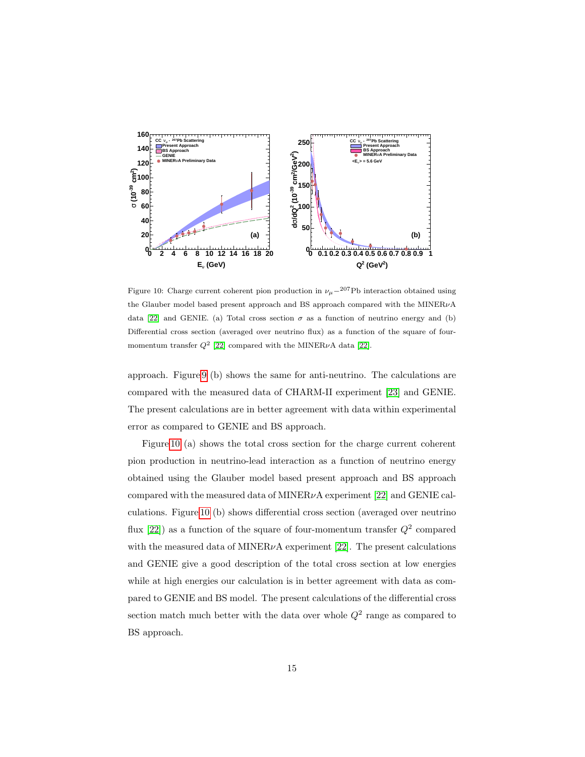

<span id="page-14-0"></span>Figure 10: Charge current coherent pion production in  $\nu_{\mu}$ −<sup>207</sup>Pb interaction obtained using the Glauber model based present approach and BS approach compared with the MINERνA data [\[22\]](#page-24-5) and GENIE. (a) Total cross section  $\sigma$  as a function of neutrino energy and (b) Differential cross section (averaged over neutrino flux) as a function of the square of fourmomentum transfer  $Q^2$  [\[22\]](#page-24-5) compared with the MINER $\nu$ A data [22].

approach. Figure [9](#page-13-0) (b) shows the same for anti-neutrino. The calculations are compared with the measured data of CHARM-II experiment [\[23\]](#page-24-6) and GENIE. The present calculations are in better agreement with data within experimental error as compared to GENIE and BS approach.

Figure [10](#page-14-0) (a) shows the total cross section for the charge current coherent pion production in neutrino-lead interaction as a function of neutrino energy obtained using the Glauber model based present approach and BS approach compared with the measured data of MINER $\nu$ A experiment [\[22\]](#page-24-5) and GENIE calculations. Figure [10](#page-14-0) (b) shows differential cross section (averaged over neutrino flux [\[22\]](#page-24-5)) as a function of the square of four-momentum transfer  $Q^2$  compared with the measured data of MINER $\nu$ A experiment [\[22\]](#page-24-5). The present calculations and GENIE give a good description of the total cross section at low energies while at high energies our calculation is in better agreement with data as compared to GENIE and BS model. The present calculations of the differential cross section match much better with the data over whole  $Q^2$  range as compared to BS approach.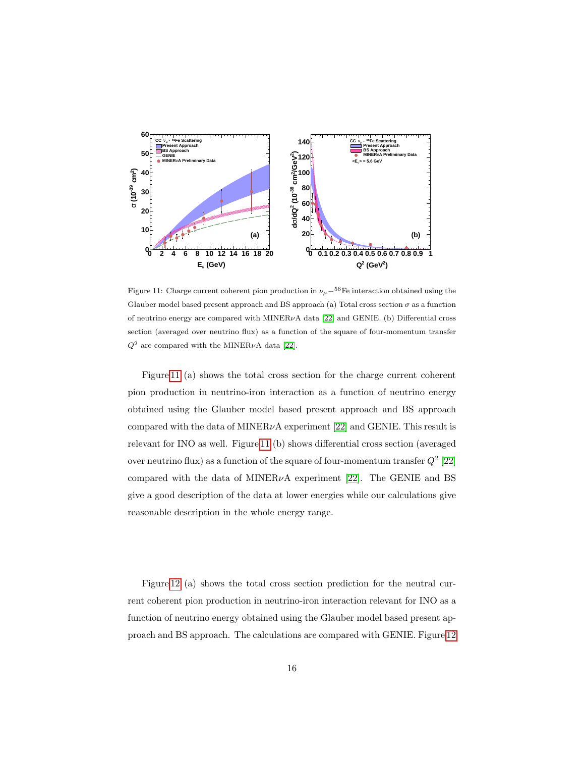

<span id="page-15-0"></span>Figure 11: Charge current coherent pion production in  $\nu_\mu-^{56}$ Fe interaction obtained using the Glauber model based present approach and BS approach (a) Total cross section  $\sigma$  as a function of neutrino energy are compared with  $MINER\nu A$  data [\[22\]](#page-24-5) and GENIE. (b) Differential cross section (averaged over neutrino flux) as a function of the square of four-momentum transfer  $Q^2$  are compared with the MINER<sub>v</sub>A data [\[22\]](#page-24-5).

Figure [11](#page-15-0) (a) shows the total cross section for the charge current coherent pion production in neutrino-iron interaction as a function of neutrino energy obtained using the Glauber model based present approach and BS approach compared with the data of MINER $\nu$ A experiment [\[22\]](#page-24-5) and GENIE. This result is relevant for INO as well. Figure [11](#page-15-0) (b) shows differential cross section (averaged over neutrino flux) as a function of the square of four-momentum transfer  $Q^2$  [\[22\]](#page-24-5) compared with the data of MINER $\nu$ A experiment [\[22\]](#page-24-5). The GENIE and BS give a good description of the data at lower energies while our calculations give reasonable description in the whole energy range.

Figure [12](#page-16-0) (a) shows the total cross section prediction for the neutral current coherent pion production in neutrino-iron interaction relevant for INO as a function of neutrino energy obtained using the Glauber model based present approach and BS approach. The calculations are compared with GENIE. Figure [12](#page-16-0)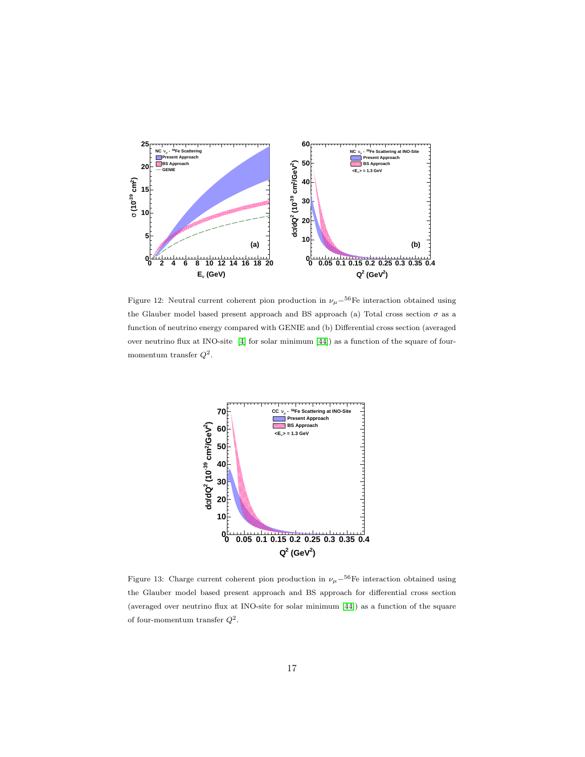

<span id="page-16-0"></span>Figure 12: Neutral current coherent pion production in  $\nu_\mu-^{56}$ Fe interaction obtained using the Glauber model based present approach and BS approach (a) Total cross section  $\sigma$  as a function of neutrino energy compared with GENIE and (b) Differential cross section (averaged over neutrino flux at INO-site [\[4\]](#page-23-3) for solar minimum [\[44\]](#page-25-13)) as a function of the square of fourmomentum transfer  $Q^2$ .



<span id="page-16-1"></span>Figure 13: Charge current coherent pion production in  $\nu_\mu-56$ Fe interaction obtained using the Glauber model based present approach and BS approach for differential cross section (averaged over neutrino flux at INO-site for solar minimum [\[44\]](#page-25-13)) as a function of the square of four-momentum transfer  $Q^2$ .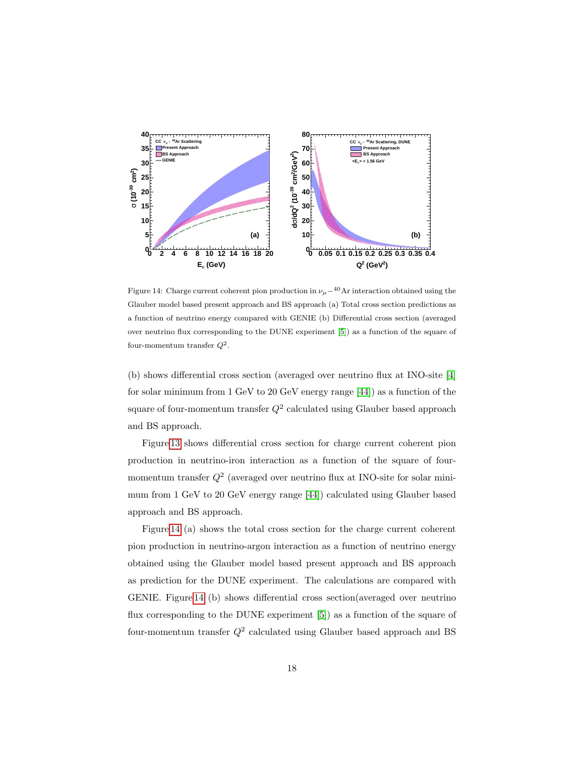

<span id="page-17-0"></span>Figure 14: Charge current coherent pion production in  $\nu_\mu-^{40}$ Ar interaction obtained using the Glauber model based present approach and BS approach (a) Total cross section predictions as a function of neutrino energy compared with GENIE (b) Differential cross section (averaged over neutrino flux corresponding to the DUNE experiment [\[5\]](#page-23-4)) as a function of the square of four-momentum transfer  $Q^2$ .

(b) shows differential cross section (averaged over neutrino flux at INO-site [\[4\]](#page-23-3) for solar minimum from 1 GeV to 20 GeV energy range [\[44\]](#page-25-13)) as a function of the square of four-momentum transfer  $Q^2$  calculated using Glauber based approach and BS approach.

Figure [13](#page-16-1) shows differential cross section for charge current coherent pion production in neutrino-iron interaction as a function of the square of fourmomentum transfer  $Q^2$  (averaged over neutrino flux at INO-site for solar minimum from 1 GeV to 20 GeV energy range [\[44\]](#page-25-13)) calculated using Glauber based approach and BS approach.

Figure [14](#page-17-0) (a) shows the total cross section for the charge current coherent pion production in neutrino-argon interaction as a function of neutrino energy obtained using the Glauber model based present approach and BS approach as prediction for the DUNE experiment. The calculations are compared with GENIE. Figure [14](#page-17-0) (b) shows differential cross section(averaged over neutrino flux corresponding to the DUNE experiment [\[5\]](#page-23-4)) as a function of the square of four-momentum transfer  $Q^2$  calculated using Glauber based approach and BS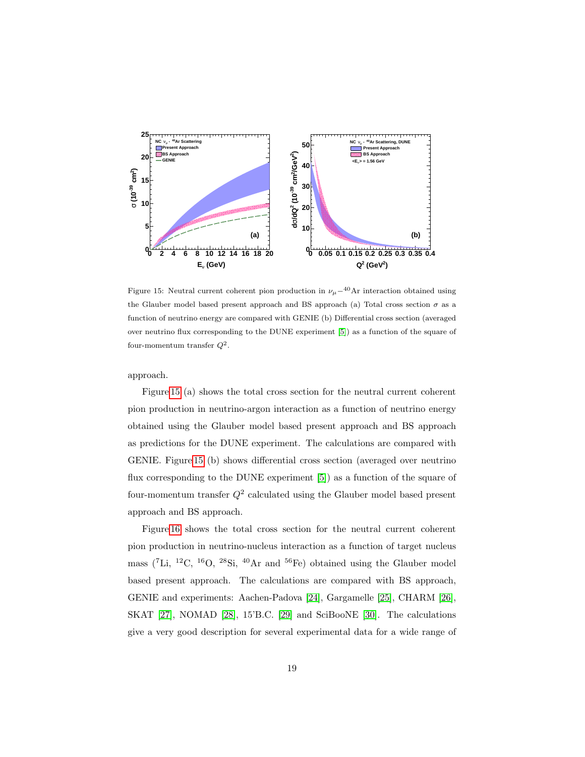

<span id="page-18-0"></span>Figure 15: Neutral current coherent pion production in  $\nu_\mu-40$ Ar interaction obtained using the Glauber model based present approach and BS approach (a) Total cross section  $\sigma$  as a function of neutrino energy are compared with GENIE (b) Differential cross section (averaged over neutrino flux corresponding to the DUNE experiment [\[5\]](#page-23-4)) as a function of the square of four-momentum transfer  $Q^2$ .

approach.

Figure [15](#page-18-0) (a) shows the total cross section for the neutral current coherent pion production in neutrino-argon interaction as a function of neutrino energy obtained using the Glauber model based present approach and BS approach as predictions for the DUNE experiment. The calculations are compared with GENIE. Figure [15](#page-18-0) (b) shows differential cross section (averaged over neutrino flux corresponding to the DUNE experiment [\[5\]](#page-23-4)) as a function of the square of four-momentum transfer  $Q^2$  calculated using the Glauber model based present approach and BS approach.

Figure [16](#page-19-0) shows the total cross section for the neutral current coherent pion production in neutrino-nucleus interaction as a function of target nucleus mass ( ${}^{7}$ Li,  ${}^{12}$ C,  ${}^{16}$ O,  ${}^{28}$ Si,  ${}^{40}$ Ar and  ${}^{56}$ Fe) obtained using the Glauber model based present approach. The calculations are compared with BS approach, GENIE and experiments: Aachen-Padova [\[24\]](#page-24-7), Gargamelle [\[25\]](#page-24-8), CHARM [\[26\]](#page-24-9), SKAT [\[27\]](#page-24-10), NOMAD [\[28\]](#page-24-11), 15'B.C. [\[29\]](#page-24-12) and SciBooNE [\[30\]](#page-24-13). The calculations give a very good description for several experimental data for a wide range of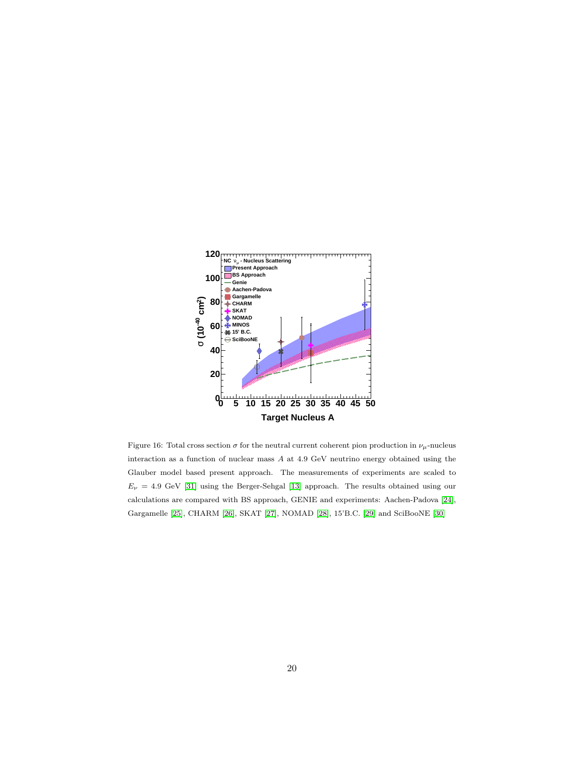

<span id="page-19-0"></span>Figure 16: Total cross section  $\sigma$  for the neutral current coherent pion production in  $\nu_{\mu}$ -nucleus interaction as a function of nuclear mass A at 4.9 GeV neutrino energy obtained using the Glauber model based present approach. The measurements of experiments are scaled to  $E_{\nu}$  = 4.9 GeV [\[31\]](#page-25-1) using the Berger-Sehgal [\[13\]](#page-23-12) approach. The results obtained using our calculations are compared with BS approach, GENIE and experiments: Aachen-Padova [\[24\]](#page-24-7), Gargamelle [\[25\]](#page-24-8), CHARM [\[26\]](#page-24-9), SKAT [\[27\]](#page-24-10), NOMAD [\[28\]](#page-24-11), 15'B.C. [\[29\]](#page-24-12) and SciBooNE [\[30\]](#page-24-13)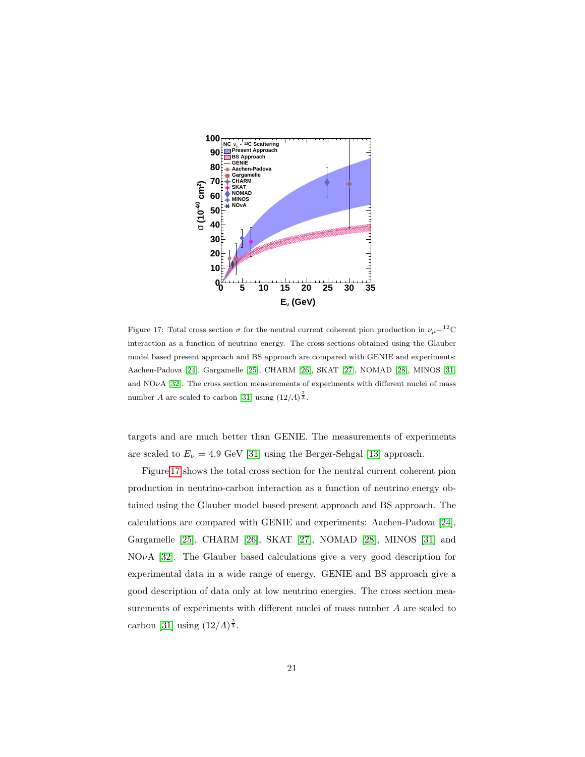

<span id="page-20-0"></span>Figure 17: Total cross section  $\sigma$  for the neutral current coherent pion production in  $\nu_{\mu}$ −<sup>12</sup>C interaction as a function of neutrino energy. The cross sections obtained using the Glauber model based present approach and BS approach are compared with GENIE and experiments: Aachen-Padova [\[24\]](#page-24-7), Gargamelle [\[25\]](#page-24-8), CHARM [\[26\]](#page-24-9), SKAT [\[27\]](#page-24-10), NOMAD [\[28\]](#page-24-11), MINOS [\[31\]](#page-25-1) and  $NO\nu A$  [\[32\]](#page-25-2). The cross section measurements of experiments with different nuclei of mass number A are scaled to carbon [\[31\]](#page-25-1) using  $(12/A)^{\frac{2}{3}}$ .

targets and are much better than GENIE. The measurements of experiments are scaled to  $E_{\nu} = 4.9$  GeV [\[31\]](#page-25-1) using the Berger-Sehgal [\[13\]](#page-23-12) approach.

Figure [17](#page-20-0) shows the total cross section for the neutral current coherent pion production in neutrino-carbon interaction as a function of neutrino energy obtained using the Glauber model based present approach and BS approach. The calculations are compared with GENIE and experiments: Aachen-Padova [\[24\]](#page-24-7), Gargamelle [\[25\]](#page-24-8), CHARM [\[26\]](#page-24-9), SKAT [\[27\]](#page-24-10), NOMAD [\[28\]](#page-24-11), MINOS [\[31\]](#page-25-1) and  $NO\nu A$  [\[32\]](#page-25-2). The Glauber based calculations give a very good description for experimental data in a wide range of energy. GENIE and BS approach give a good description of data only at low neutrino energies. The cross section measurements of experiments with different nuclei of mass number A are scaled to carbon [\[31\]](#page-25-1) using  $(12/A)^{\frac{2}{3}}$ .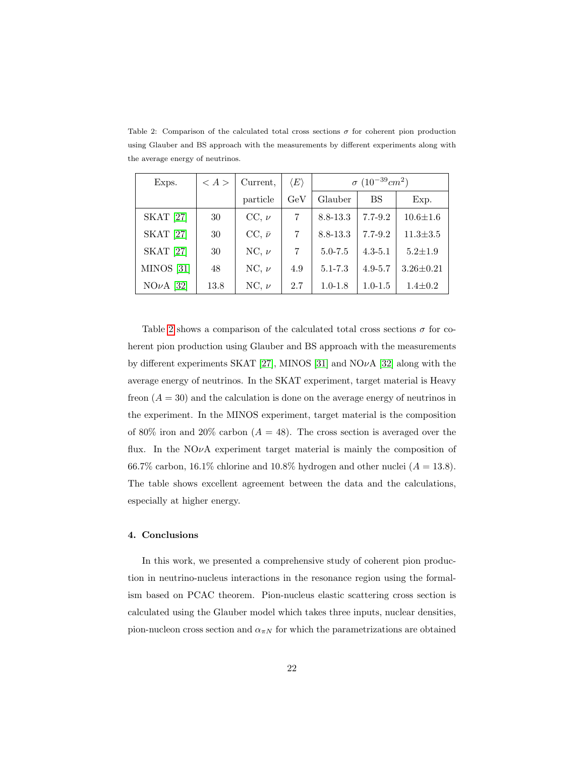| Exps.                 | $\langle A \rangle$ | Current,        | $\langle E \rangle$ | $\sigma$ (10 <sup>-39</sup> cm <sup>2</sup> ) |             |                 |
|-----------------------|---------------------|-----------------|---------------------|-----------------------------------------------|-------------|-----------------|
|                       |                     | particle        | GeV                 | Glauber                                       | BS          | Exp.            |
| <b>SKAT</b> [27]      | 30                  | $CC, \nu$       |                     | 8.8-13.3                                      | $7.7 - 9.2$ | $10.6 \pm 1.6$  |
| <b>SKAT</b> [27]      | 30                  | $CC, \bar{\nu}$ | 7                   | 8.8-13.3                                      | $7.7 - 9.2$ | $11.3 \pm 3.5$  |
| <b>SKAT</b> [27]      | 30                  | NC, $\nu$       | 7                   | $5.0 - 7.5$                                   | $4.3 - 5.1$ | $5.2 \pm 1.9$   |
| MINOS <sup>[31]</sup> | 48                  | NC, $\nu$       | 4.9                 | $5.1 - 7.3$                                   | $4.9 - 5.7$ | $3.26 \pm 0.21$ |
| $NO\nu A$ [32]        | 13.8                | NC, $\nu$       | 2.7                 | $1.0 - 1.8$                                   | $1.0 - 1.5$ | $1.4 \pm 0.2$   |

<span id="page-21-0"></span>Table 2: Comparison of the calculated total cross sections  $\sigma$  for coherent pion production using Glauber and BS approach with the measurements by different experiments along with the average energy of neutrinos.

Table [2](#page-21-0) shows a comparison of the calculated total cross sections  $\sigma$  for coherent pion production using Glauber and BS approach with the measurements by different experiments SKAT [\[27\]](#page-24-10), MINOS [\[31\]](#page-25-1) and NO $\nu$ A [\[32\]](#page-25-2) along with the average energy of neutrinos. In the SKAT experiment, target material is Heavy freon  $(A = 30)$  and the calculation is done on the average energy of neutrinos in the experiment. In the MINOS experiment, target material is the composition of 80% iron and 20% carbon ( $A = 48$ ). The cross section is averaged over the flux. In the  $NQ\nu A$  experiment target material is mainly the composition of 66.7% carbon, 16.1% chlorine and 10.8% hydrogen and other nuclei  $(A = 13.8)$ . The table shows excellent agreement between the data and the calculations, especially at higher energy.

## 4. Conclusions

In this work, we presented a comprehensive study of coherent pion production in neutrino-nucleus interactions in the resonance region using the formalism based on PCAC theorem. Pion-nucleus elastic scattering cross section is calculated using the Glauber model which takes three inputs, nuclear densities, pion-nucleon cross section and  $\alpha_{\pi N}$  for which the parametrizations are obtained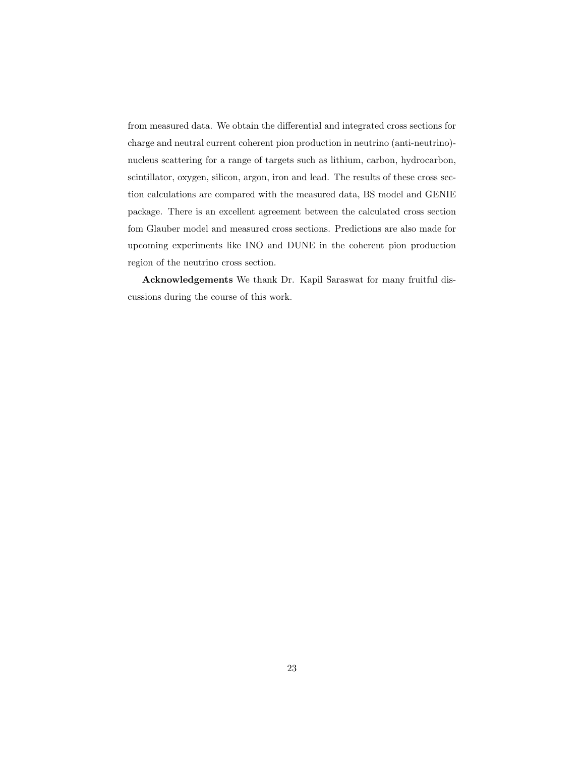from measured data. We obtain the differential and integrated cross sections for charge and neutral current coherent pion production in neutrino (anti-neutrino) nucleus scattering for a range of targets such as lithium, carbon, hydrocarbon, scintillator, oxygen, silicon, argon, iron and lead. The results of these cross section calculations are compared with the measured data, BS model and GENIE package. There is an excellent agreement between the calculated cross section fom Glauber model and measured cross sections. Predictions are also made for upcoming experiments like INO and DUNE in the coherent pion production region of the neutrino cross section.

Acknowledgements We thank Dr. Kapil Saraswat for many fruitful discussions during the course of this work.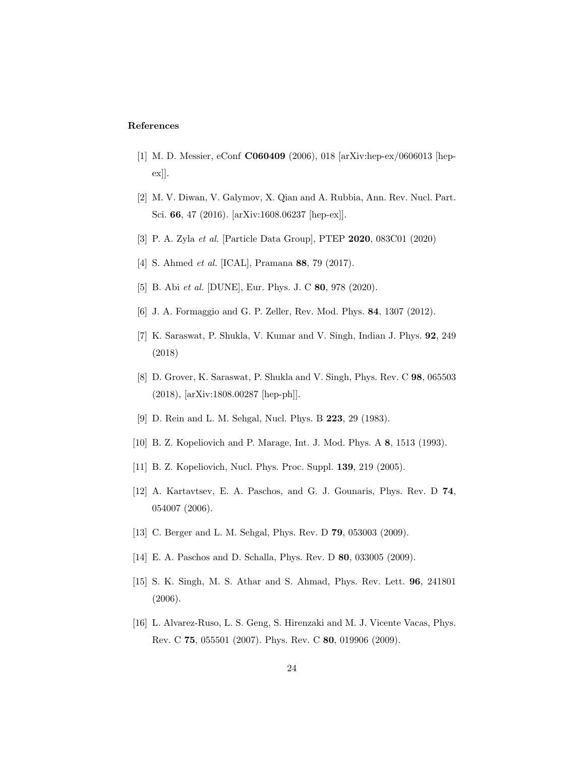## References

- <span id="page-23-0"></span>[1] M. D. Messier, eConf C060409 (2006), 018 [arXiv:hep-ex/0606013 [hepex]].
- <span id="page-23-1"></span>[2] M. V. Diwan, V. Galymov, X. Qian and A. Rubbia, Ann. Rev. Nucl. Part. Sci. 66, 47 (2016). [arXiv:1608.06237 [hep-ex]].
- <span id="page-23-2"></span>[3] P. A. Zyla et al. [Particle Data Group], PTEP 2020, 083C01 (2020)
- <span id="page-23-3"></span>[4] S. Ahmed et al. [ICAL], Pramana 88, 79 (2017).
- <span id="page-23-4"></span>[5] B. Abi et al. [DUNE], Eur. Phys. J. C 80, 978 (2020).
- <span id="page-23-5"></span>[6] J. A. Formaggio and G. P. Zeller, Rev. Mod. Phys. 84, 1307 (2012).
- <span id="page-23-6"></span>[7] K. Saraswat, P. Shukla, V. Kumar and V. Singh, Indian J. Phys. 92, 249 (2018)
- <span id="page-23-7"></span>[8] D. Grover, K. Saraswat, P. Shukla and V. Singh, Phys. Rev. C 98, 065503 (2018), [arXiv:1808.00287 [hep-ph]].
- <span id="page-23-8"></span>[9] D. Rein and L. M. Sehgal, Nucl. Phys. B 223, 29 (1983).
- <span id="page-23-9"></span>[10] B. Z. Kopeliovich and P. Marage, Int. J. Mod. Phys. A 8, 1513 (1993).
- <span id="page-23-10"></span>[11] B. Z. Kopeliovich, Nucl. Phys. Proc. Suppl. **139**, 219 (2005).
- <span id="page-23-11"></span>[12] A. Kartavtsev, E. A. Paschos, and G. J. Gounaris, Phys. Rev. D 74, 054007 (2006).
- <span id="page-23-12"></span>[13] C. Berger and L. M. Sehgal, Phys. Rev. D 79, 053003 (2009).
- <span id="page-23-13"></span>[14] E. A. Paschos and D. Schalla, Phys. Rev. D **80**, 033005 (2009).
- <span id="page-23-14"></span>[15] S. K. Singh, M. S. Athar and S. Ahmad, Phys. Rev. Lett. 96, 241801 (2006).
- <span id="page-23-15"></span>[16] L. Alvarez-Ruso, L. S. Geng, S. Hirenzaki and M. J. Vicente Vacas, Phys. Rev. C 75, 055501 (2007). Phys. Rev. C 80, 019906 (2009).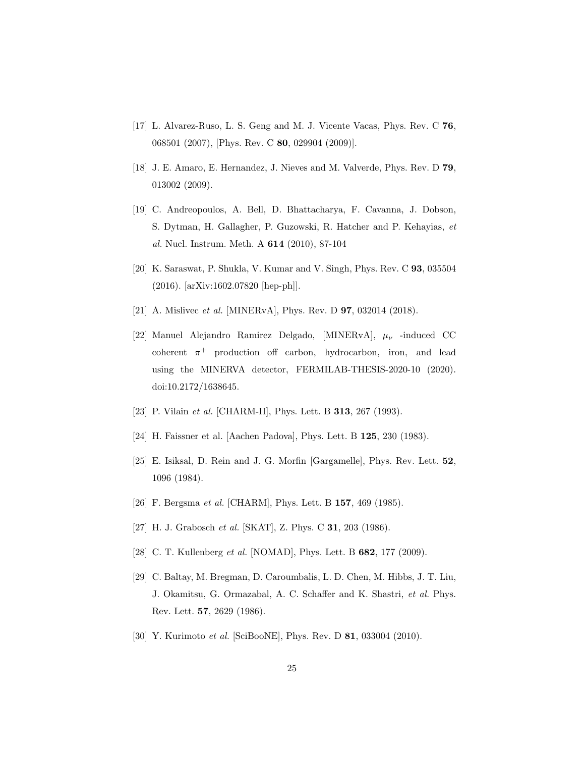- <span id="page-24-0"></span>[17] L. Alvarez-Ruso, L. S. Geng and M. J. Vicente Vacas, Phys. Rev. C 76, 068501 (2007), [Phys. Rev. C 80, 029904 (2009)].
- <span id="page-24-1"></span>[18] J. E. Amaro, E. Hernandez, J. Nieves and M. Valverde, Phys. Rev. D 79, 013002 (2009).
- <span id="page-24-2"></span>[19] C. Andreopoulos, A. Bell, D. Bhattacharya, F. Cavanna, J. Dobson, S. Dytman, H. Gallagher, P. Guzowski, R. Hatcher and P. Kehayias, et al. Nucl. Instrum. Meth. A 614 (2010), 87-104
- <span id="page-24-3"></span>[20] K. Saraswat, P. Shukla, V. Kumar and V. Singh, Phys. Rev. C 93, 035504 (2016). [arXiv:1602.07820 [hep-ph]].
- <span id="page-24-4"></span>[21] A. Mislivec *et al.* [MINERvA], Phys. Rev. D **97**, 032014 (2018).
- <span id="page-24-5"></span>[22] Manuel Alejandro Ramirez Delgado, [MINERvA],  $\mu_{\nu}$  -induced CC coherent  $\pi^+$  production off carbon, hydrocarbon, iron, and lead using the MINERVA detector, FERMILAB-THESIS-2020-10 (2020). doi:10.2172/1638645.
- <span id="page-24-6"></span>[23] P. Vilain *et al.* [CHARM-II], Phys. Lett. B **313**, 267 (1993).
- <span id="page-24-7"></span>[24] H. Faissner et al. [Aachen Padova], Phys. Lett. B 125, 230 (1983).
- <span id="page-24-8"></span>[25] E. Isiksal, D. Rein and J. G. Morfin [Gargamelle], Phys. Rev. Lett. 52, 1096 (1984).
- <span id="page-24-9"></span>[26] F. Bergsma et al. [CHARM], Phys. Lett. B 157, 469 (1985).
- <span id="page-24-10"></span>[27] H. J. Grabosch et al. [SKAT], Z. Phys. C **31**, 203 (1986).
- <span id="page-24-11"></span>[28] C. T. Kullenberg et al. [NOMAD], Phys. Lett. B 682, 177 (2009).
- <span id="page-24-12"></span>[29] C. Baltay, M. Bregman, D. Caroumbalis, L. D. Chen, M. Hibbs, J. T. Liu, J. Okamitsu, G. Ormazabal, A. C. Schaffer and K. Shastri, et al. Phys. Rev. Lett. 57, 2629 (1986).
- <span id="page-24-13"></span>[30] Y. Kurimoto et al. [SciBooNE], Phys. Rev. D 81, 033004 (2010).